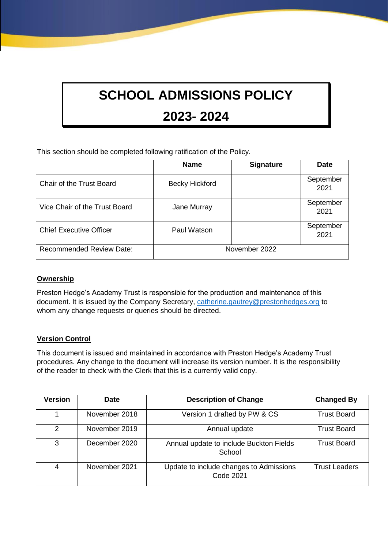# **SCHOOL ADMISSIONS POLICY**

# **2023- 2024**

This section should be completed following ratification of the Policy.

|                                 | <b>Name</b>           | <b>Signature</b> | <b>Date</b>       |
|---------------------------------|-----------------------|------------------|-------------------|
| <b>Chair of the Trust Board</b> | <b>Becky Hickford</b> |                  | September<br>2021 |
| Vice Chair of the Trust Board   | Jane Murray           |                  | September<br>2021 |
| <b>Chief Executive Officer</b>  | Paul Watson           |                  | September<br>2021 |
| <b>Recommended Review Date:</b> |                       | November 2022    |                   |

# **Ownership**

Preston Hedge's Academy Trust is responsible for the production and maintenance of this document. It is issued by the Company Secretary, [catherine.gautrey@prestonhedges.org](mailto:catherine.gautrey@prestonhedges.org) to whom any change requests or queries should be directed.

# **Version Control**

This document is issued and maintained in accordance with Preston Hedge's Academy Trust procedures. Any change to the document will increase its version number. It is the responsibility of the reader to check with the Clerk that this is a currently valid copy.

| <b>Version</b> | <b>Date</b>   | <b>Description of Change</b>                                | <b>Changed By</b>    |
|----------------|---------------|-------------------------------------------------------------|----------------------|
|                | November 2018 | Version 1 drafted by PW & CS                                | <b>Trust Board</b>   |
| 2              | November 2019 | Annual update                                               | <b>Trust Board</b>   |
| 3              | December 2020 | Annual update to include Buckton Fields<br>School           | <b>Trust Board</b>   |
| 4              | November 2021 | Update to include changes to Admissions<br><b>Code 2021</b> | <b>Trust Leaders</b> |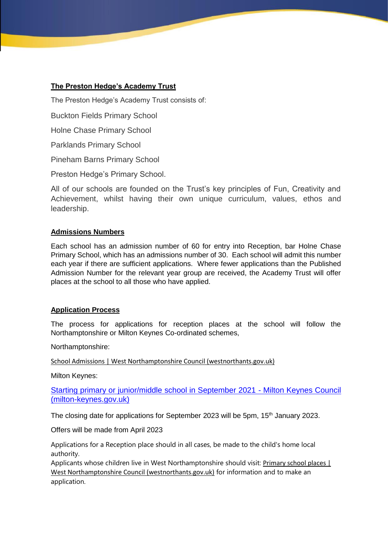# **The Preston Hedge's Academy Trust**

The Preston Hedge's Academy Trust consists of:

Buckton Fields Primary School

Holne Chase Primary School

Parklands Primary School

Pineham Barns Primary School

Preston Hedge's Primary School.

All of our schools are founded on the Trust's key principles of Fun, Creativity and Achievement, whilst having their own unique curriculum, values, ethos and leadership.

# **Admissions Numbers**

Each school has an admission number of 60 for entry into Reception, bar Holne Chase Primary School, which has an admissions number of 30. Each school will admit this number each year if there are sufficient applications. Where fewer applications than the Published Admission Number for the relevant year group are received, the Academy Trust will offer places at the school to all those who have applied.

# **Application Process**

The process for applications for reception places at the school will follow the Northamptonshire or Milton Keynes Co-ordinated schemes,

Northamptonshire:

[School Admissions | West Northamptonshire Council \(westnorthants.gov.uk\)](https://www.westnorthants.gov.uk/school-admissions)

Milton Keynes:

[Starting primary or junior/middle school in September 2021 -](https://www.milton-keynes.gov.uk/schools-and-lifelong-learning/school-admissions/starting-primary-or-junior-middle-school-in-september-2021) Milton Keynes Council [\(milton-keynes.gov.uk\)](https://www.milton-keynes.gov.uk/schools-and-lifelong-learning/school-admissions/starting-primary-or-junior-middle-school-in-september-2021)

The closing date for applications for September 2023 will be 5pm, 15<sup>th</sup> January 2023.

Offers will be made from April 2023

Applications for a Reception place should in all cases, be made to the child's home local authority.

Applicants whose children live in West Northamptonshire should visit: [Primary school places |](https://www.westnorthants.gov.uk/primary-school-places)  [West Northamptonshire Council \(westnorthants.gov.uk\)](https://www.westnorthants.gov.uk/primary-school-places) for information and to make an application.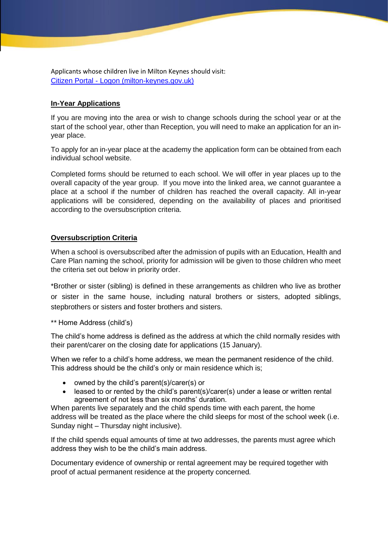Applicants whose children live in Milton Keynes should visit: Citizen Portal - [Logon \(milton-keynes.gov.uk\)](https://emsonline.milton-keynes.gov.uk/CitizenPortal_LIVE/en?ReturnUrl=%2FCitizenPortal_LIVE%2F)

#### **In-Year Applications**

If you are moving into the area or wish to change schools during the school year or at the start of the school year, other than Reception, you will need to make an application for an inyear place.

To apply for an in-year place at the academy the application form can be obtained from each individual school website.

Completed forms should be returned to each school. We will offer in year places up to the overall capacity of the year group. If you move into the linked area, we cannot guarantee a place at a school if the number of children has reached the overall capacity. All in-year applications will be considered, depending on the availability of places and prioritised according to the oversubscription criteria.

# **Oversubscription Criteria**

When a school is oversubscribed after the admission of pupils with an Education, Health and Care Plan naming the school, priority for admission will be given to those children who meet the criteria set out below in priority order.

\*Brother or sister (sibling) is defined in these arrangements as children who live as brother or sister in the same house, including natural brothers or sisters, adopted siblings, stepbrothers or sisters and foster brothers and sisters.

\**\** Home Address (child's)

The child's home address is defined as the address at which the child normally resides with their parent/carer on the closing date for applications (15 January).

When we refer to a child's home address, we mean the permanent residence of the child. This address should be the child's only or main residence which is;

- owned by the child's parent(s)/carer(s) or
- leased to or rented by the child's parent(s)/carer(s) under a lease or written rental agreement of not less than six months' duration.

When parents live separately and the child spends time with each parent, the home address will be treated as the place where the child sleeps for most of the school week (i.e. Sunday night – Thursday night inclusive).

If the child spends equal amounts of time at two addresses, the parents must agree which address they wish to be the child's main address.

Documentary evidence of ownership or rental agreement may be required together with proof of actual permanent residence at the property concerned*.*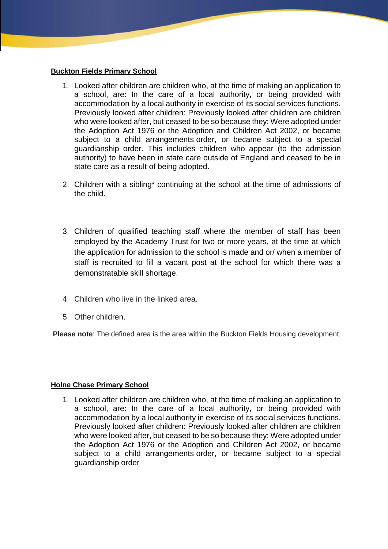# **Buckton Fields Primary School**

- 1. Looked after children are children who, at the time of making an application to a school, are: In the care of a local authority, or being provided with accommodation by a local authority in exercise of its social services functions. Previously looked after children: Previously looked after children are children who were looked after, but ceased to be so because they: Were adopted under the Adoption Act 1976 or the Adoption and Children Act 2002, or became subject to a child arrangements order, or became subject to a special guardianship order. This includes children who appear (to the admission authority) to have been in state care outside of England and ceased to be in state care as a result of being adopted.
- 2. Children with a sibling\* continuing at the school at the time of admissions of the child.
- 3. Children of qualified teaching staff where the member of staff has been employed by the Academy Trust for two or more years, at the time at which the application for admission to the school is made and or/ when a member of staff is recruited to fill a vacant post at the school for which there was a demonstratable skill shortage.
- 4. Children who live in the linked area.
- 5. Other children.

**Please note**: The defined area is the area within the Buckton Fields Housing development.

# **Holne Chase Primary School**

1. Looked after children are children who, at the time of making an application to a school, are: In the care of a local authority, or being provided with accommodation by a local authority in exercise of its social services functions. Previously looked after children: Previously looked after children are children who were looked after, but ceased to be so because they: Were adopted under the Adoption Act 1976 or the Adoption and Children Act 2002, or became subject to a child arrangements order, or became subject to a special guardianship order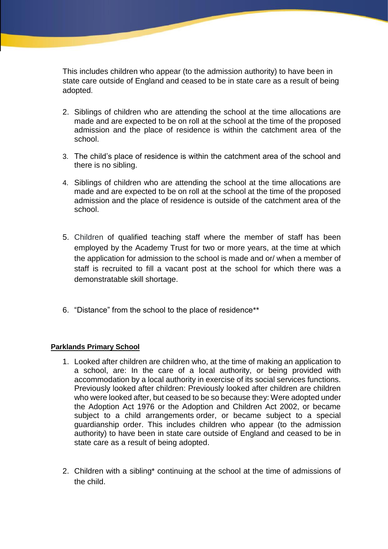This includes children who appear (to the admission authority) to have been in state care outside of England and ceased to be in state care as a result of being adopted.

- 2. Siblings of children who are attending the school at the time allocations are made and are expected to be on roll at the school at the time of the proposed admission and the place of residence is within the catchment area of the school.
- 3. The child's place of residence is within the catchment area of the school and there is no sibling.
- 4. Siblings of children who are attending the school at the time allocations are made and are expected to be on roll at the school at the time of the proposed admission and the place of residence is outside of the catchment area of the school.
- 5. Children of qualified teaching staff where the member of staff has been employed by the Academy Trust for two or more years, at the time at which the application for admission to the school is made and or/ when a member of staff is recruited to fill a vacant post at the school for which there was a demonstratable skill shortage.
- 6. "Distance" from the school to the place of residence\*\*

# **Parklands Primary School**

- 1. Looked after children are children who, at the time of making an application to a school, are: In the care of a local authority, or being provided with accommodation by a local authority in exercise of its social services functions. Previously looked after children: Previously looked after children are children who were looked after, but ceased to be so because they: Were adopted under the Adoption Act 1976 or the Adoption and Children Act 2002, or became subject to a child arrangements order, or became subject to a special guardianship order. This includes children who appear (to the admission authority) to have been in state care outside of England and ceased to be in state care as a result of being adopted.
- 2. Children with a sibling\* continuing at the school at the time of admissions of the child.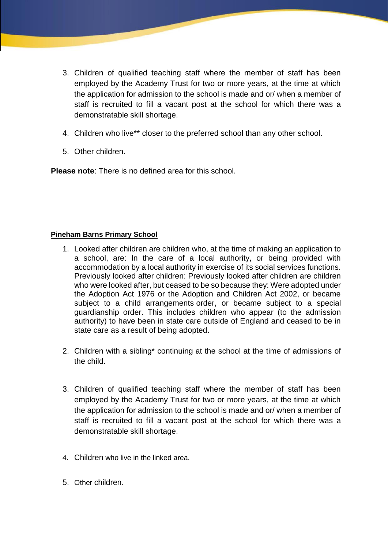- 3. Children of qualified teaching staff where the member of staff has been employed by the Academy Trust for two or more years, at the time at which the application for admission to the school is made and or/ when a member of staff is recruited to fill a vacant post at the school for which there was a demonstratable skill shortage.
- 4. Children who live\*\* closer to the preferred school than any other school.
- 5. Other children.

**Please note**: There is no defined area for this school.

# **Pineham Barns Primary School**

- 1. Looked after children are children who, at the time of making an application to a school, are: In the care of a local authority, or being provided with accommodation by a local authority in exercise of its social services functions. Previously looked after children: Previously looked after children are children who were looked after, but ceased to be so because they: Were adopted under the Adoption Act 1976 or the Adoption and Children Act 2002, or became subject to a child arrangements order, or became subject to a special guardianship order. This includes children who appear (to the admission authority) to have been in state care outside of England and ceased to be in state care as a result of being adopted.
- 2. Children with a sibling\* continuing at the school at the time of admissions of the child.
- 3. Children of qualified teaching staff where the member of staff has been employed by the Academy Trust for two or more years, at the time at which the application for admission to the school is made and or/ when a member of staff is recruited to fill a vacant post at the school for which there was a demonstratable skill shortage.
- 4. Children who live in the linked area.
- 5. Other children.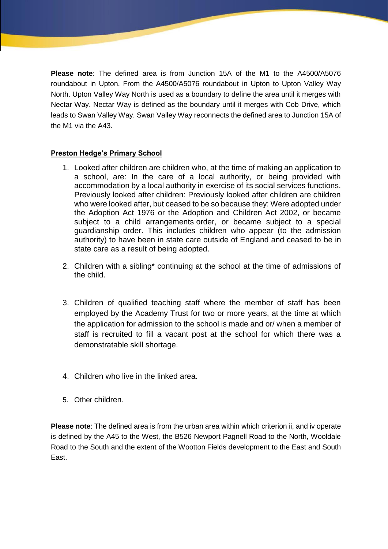**Please note**: The defined area is from Junction 15A of the M1 to the A4500/A5076 roundabout in Upton. From the A4500/A5076 roundabout in Upton to Upton Valley Way North. Upton Valley Way North is used as a boundary to define the area until it merges with Nectar Way. Nectar Way is defined as the boundary until it merges with Cob Drive, which leads to Swan Valley Way. Swan Valley Way reconnects the defined area to Junction 15A of the M1 via the A43.

# **Preston Hedge's Primary School**

- 1. Looked after children are children who, at the time of making an application to a school, are: In the care of a local authority, or being provided with accommodation by a local authority in exercise of its social services functions. Previously looked after children: Previously looked after children are children who were looked after, but ceased to be so because they: Were adopted under the Adoption Act 1976 or the Adoption and Children Act 2002, or became subject to a child arrangements order, or became subject to a special guardianship order. This includes children who appear (to the admission authority) to have been in state care outside of England and ceased to be in state care as a result of being adopted.
- 2. Children with a sibling\* continuing at the school at the time of admissions of the child.
- 3. Children of qualified teaching staff where the member of staff has been employed by the Academy Trust for two or more years, at the time at which the application for admission to the school is made and or/ when a member of staff is recruited to fill a vacant post at the school for which there was a demonstratable skill shortage.
- 4. Children who live in the linked area.
- 5. Other children.

**Please note**: The defined area is from the urban area within which criterion ii, and iv operate is defined by the A45 to the West, the B526 Newport Pagnell Road to the North, Wooldale Road to the South and the extent of the Wootton Fields development to the East and South East.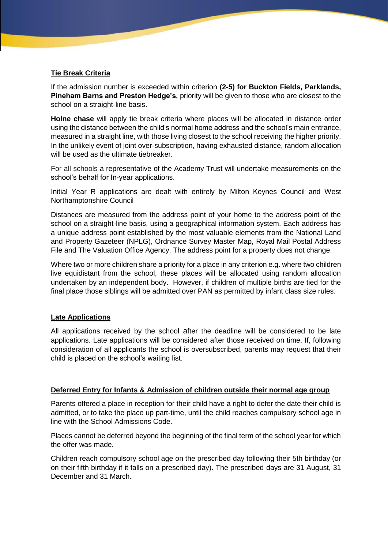# **Tie Break Criteria**

If the admission number is exceeded within criterion **(2-5) for Buckton Fields, Parklands, Pineham Barns and Preston Hedge's,** priority will be given to those who are closest to the school on a straight-line basis.

**Holne chase** will apply tie break criteria where places will be allocated in distance order using the distance between the child's normal home address and the school's main entrance, measured in a straight line, with those living closest to the school receiving the higher priority. In the unlikely event of joint over-subscription, having exhausted distance, random allocation will be used as the ultimate tiebreaker.

For all schools a representative of the Academy Trust will undertake measurements on the school's behalf for In-year applications.

Initial Year R applications are dealt with entirely by Milton Keynes Council and West Northamptonshire Council

Distances are measured from the address point of your home to the address point of the school on a straight-line basis, using a geographical information system. Each address has a unique address point established by the most valuable elements from the National Land and Property Gazeteer (NPLG), Ordnance Survey Master Map, Royal Mail Postal Address File and The Valuation Office Agency. The address point for a property does not change.

Where two or more children share a priority for a place in any criterion e.g. where two children live equidistant from the school, these places will be allocated using random allocation undertaken by an independent body. However, if children of multiple births are tied for the final place those siblings will be admitted over PAN as permitted by infant class size rules.

# **Late Applications**

All applications received by the school after the deadline will be considered to be late applications. Late applications will be considered after those received on time. If, following consideration of all applicants the school is oversubscribed, parents may request that their child is placed on the school's waiting list.

#### **Deferred Entry for Infants & Admission of children outside their normal age group**

Parents offered a place in reception for their child have a right to defer the date their child is admitted, or to take the place up part-time, until the child reaches compulsory school age in line with the School Admissions Code.

Places cannot be deferred beyond the beginning of the final term of the school year for which the offer was made.

Children reach compulsory school age on the prescribed day following their 5th birthday (or on their fifth birthday if it falls on a prescribed day). The prescribed days are 31 August, 31 December and 31 March.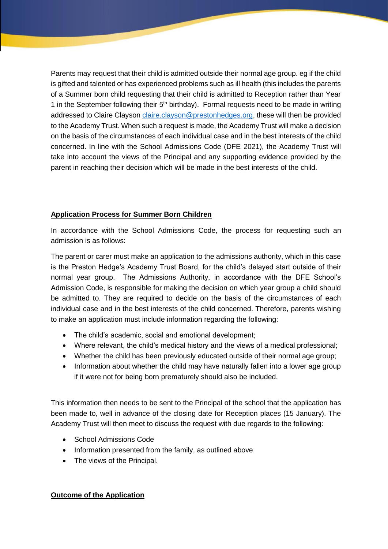Parents may request that their child is admitted outside their normal age group. eg if the child is gifted and talented or has experienced problems such as ill health (this includes the parents of a Summer born child requesting that their child is admitted to Reception rather than Year 1 in the September following their  $5<sup>th</sup>$  birthday). Formal requests need to be made in writing addressed to Claire Clayson [claire.clayson@prestonhedges.org,](mailto:claire.clayson@prestonhedges.org) these will then be provided to the Academy Trust. When such a request is made, the Academy Trust will make a decision on the basis of the circumstances of each individual case and in the best interests of the child concerned. In line with the School Admissions Code (DFE 2021), the Academy Trust will take into account the views of the Principal and any supporting evidence provided by the parent in reaching their decision which will be made in the best interests of the child.

# **Application Process for Summer Born Children**

In accordance with the School Admissions Code, the process for requesting such an admission is as follows:

The parent or carer must make an application to the admissions authority, which in this case is the Preston Hedge's Academy Trust Board, for the child's delayed start outside of their normal year group. The Admissions Authority, in accordance with the DFE School's Admission Code, is responsible for making the decision on which year group a child should be admitted to. They are required to decide on the basis of the circumstances of each individual case and in the best interests of the child concerned. Therefore, parents wishing to make an application must include information regarding the following:

- The child's academic, social and emotional development;
- Where relevant, the child's medical history and the views of a medical professional;
- Whether the child has been previously educated outside of their normal age group;
- Information about whether the child may have naturally fallen into a lower age group if it were not for being born prematurely should also be included.

This information then needs to be sent to the Principal of the school that the application has been made to, well in advance of the closing date for Reception places (15 January). The Academy Trust will then meet to discuss the request with due regards to the following:

- School Admissions Code
- Information presented from the family, as outlined above
- The views of the Principal.

# **Outcome of the Application**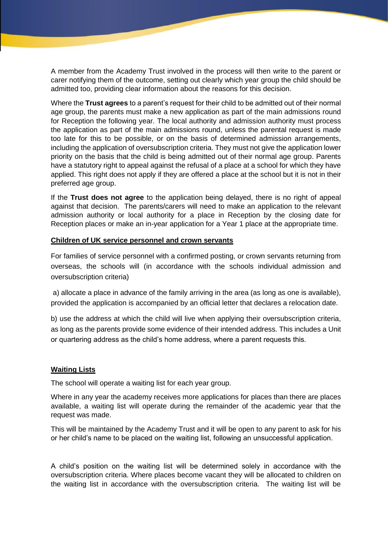A member from the Academy Trust involved in the process will then write to the parent or carer notifying them of the outcome, setting out clearly which year group the child should be admitted too, providing clear information about the reasons for this decision.

Where the **Trust agrees** to a parent's request for their child to be admitted out of their normal age group, the parents must make a new application as part of the main admissions round for Reception the following year. The local authority and admission authority must process the application as part of the main admissions round, unless the parental request is made too late for this to be possible, or on the basis of determined admission arrangements, including the application of oversubscription criteria. They must not give the application lower priority on the basis that the child is being admitted out of their normal age group. Parents have a statutory right to appeal against the refusal of a place at a school for which they have applied. This right does not apply if they are offered a place at the school but it is not in their preferred age group.

If the **Trust does not agree** to the application being delayed, there is no right of appeal against that decision. The parents/carers will need to make an application to the relevant admission authority or local authority for a place in Reception by the closing date for Reception places or make an in-year application for a Year 1 place at the appropriate time.

#### **Children of UK service personnel and crown servants**

For families of service personnel with a confirmed posting, or crown servants returning from overseas, the schools will (in accordance with the schools individual admission and oversubscription criteria)

a) allocate a place in advance of the family arriving in the area (as long as one is available), provided the application is accompanied by an official letter that declares a relocation date.

b) use the address at which the child will live when applying their oversubscription criteria, as long as the parents provide some evidence of their intended address. This includes a Unit or quartering address as the child's home address, where a parent requests this.

#### **Waiting Lists**

The school will operate a waiting list for each year group.

Where in any year the academy receives more applications for places than there are places available, a waiting list will operate during the remainder of the academic year that the request was made.

This will be maintained by the Academy Trust and it will be open to any parent to ask for his or her child's name to be placed on the waiting list, following an unsuccessful application.

A child's position on the waiting list will be determined solely in accordance with the oversubscription criteria. Where places become vacant they will be allocated to children on the waiting list in accordance with the oversubscription criteria. The waiting list will be